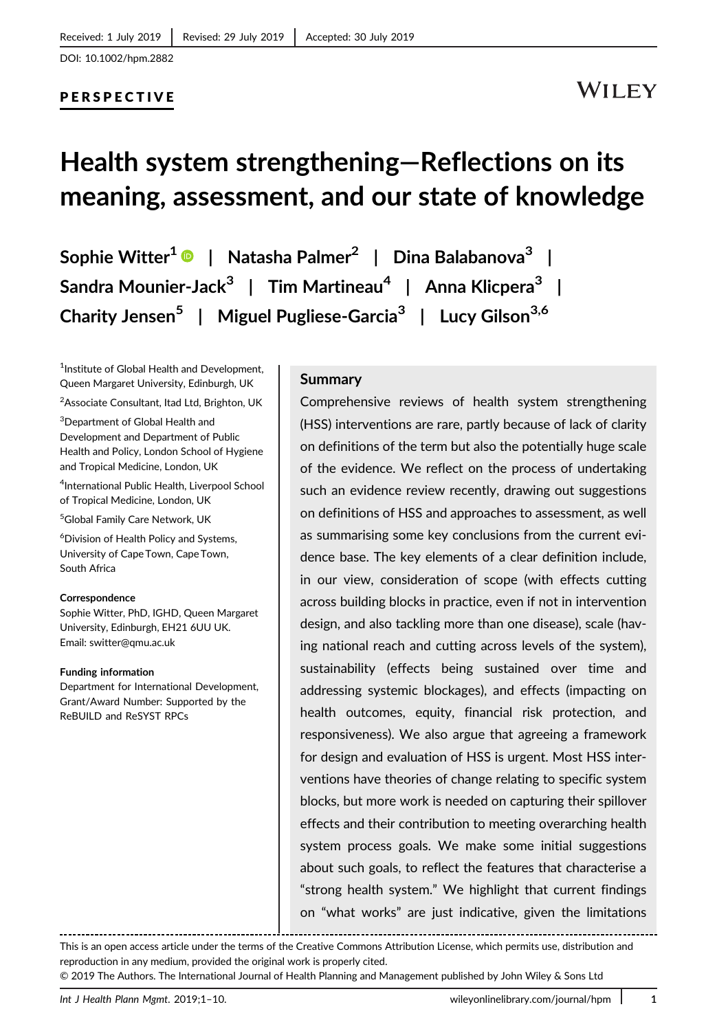## PERSPECTIVE

## **WILEY**

# **Health system strengthening—Reflections on its meaning, assessment, and our state of knowledge**

**Sophie Witter1 | Natasha Palmer2 | Dina Balabanova<sup>3</sup> | Sandra Mounier-Jack<sup>3</sup> | Tim Martineau4 | Anna Klicpera3 | Charity Jensen5 | Miguel Pugliese-Garcia<sup>3</sup> | Lucy Gilson3,6**

<sup>1</sup>Institute of Global Health and Development, Queen Margaret University, Edinburgh, UK

<sup>2</sup>Associate Consultant, Itad Ltd, Brighton, UK

3 Department of Global Health and Development and Department of Public Health and Policy, London School of Hygiene and Tropical Medicine, London, UK

4 International Public Health, Liverpool School of Tropical Medicine, London, UK

5 Global Family Care Network, UK

6 Division of Health Policy and Systems, University of Cape Town, Cape Town, South Africa

#### **Correspondence**

Sophie Witter, PhD, IGHD, Queen Margaret University, Edinburgh, EH21 6UU UK. Email: switter@qmu.ac.uk

#### **Funding information**

Department for International Development, Grant/Award Number: Supported by the ReBUILD and ReSYST RPCs

#### **Summary**

Comprehensive reviews of health system strengthening (HSS) interventions are rare, partly because of lack of clarity on definitions of the term but also the potentially huge scale of the evidence. We reflect on the process of undertaking such an evidence review recently, drawing out suggestions on definitions of HSS and approaches to assessment, as well as summarising some key conclusions from the current evidence base. The key elements of a clear definition include, in our view, consideration of scope (with effects cutting across building blocks in practice, even if not in intervention design, and also tackling more than one disease), scale (having national reach and cutting across levels of the system), sustainability (effects being sustained over time and addressing systemic blockages), and effects (impacting on health outcomes, equity, financial risk protection, and responsiveness). We also argue that agreeing a framework for design and evaluation of HSS is urgent. Most HSS interventions have theories of change relating to specific system blocks, but more work is needed on capturing their spillover effects and their contribution to meeting overarching health system process goals. We make some initial suggestions about such goals, to reflect the features that characterise a "strong health system." We highlight that current findings on "what works" are just indicative, given the limitations

This is an open access article under the terms of the [Creative Commons Attribution](http://creativecommons.org/licenses/by/4.0/) License, which permits use, distribution and reproduction in any medium, provided the original work is properly cited.

© 2019 The Authors. The International Journal of Health Planning and Management published by John Wiley & Sons Ltd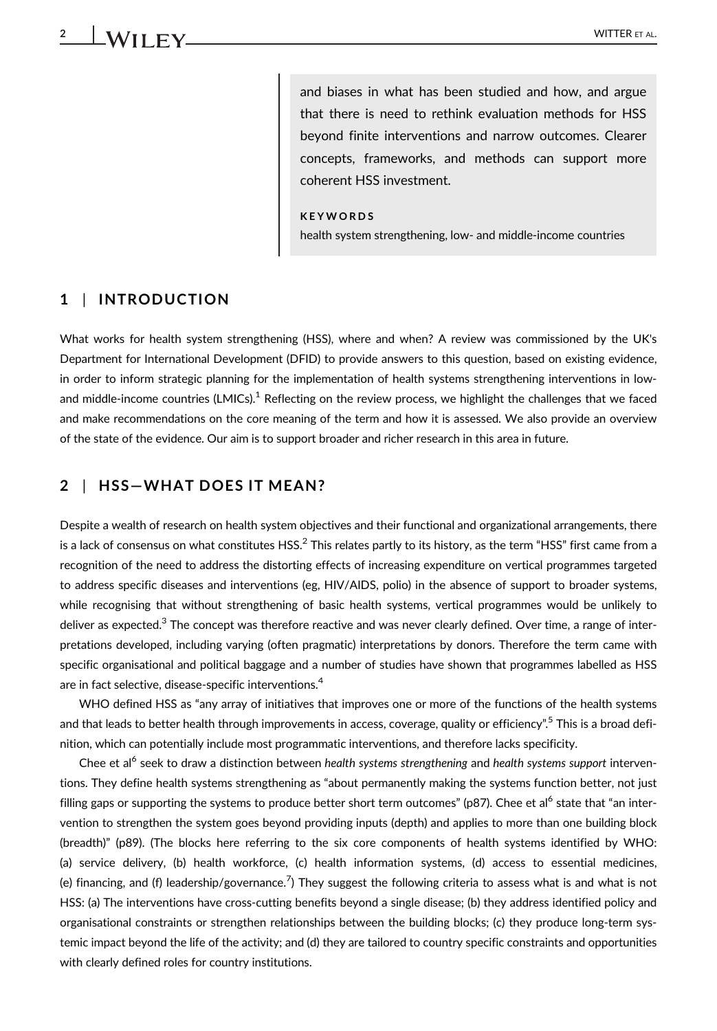and biases in what has been studied and how, and argue that there is need to rethink evaluation methods for HSS beyond finite interventions and narrow outcomes. Clearer concepts, frameworks, and methods can support more coherent HSS investment.

#### **KEYWORDS**

health system strengthening, low- and middle-income countries

#### **1** | **INTRODUCTION**

What works for health system strengthening (HSS), where and when? A review was commissioned by the UK's Department for International Development (DFID) to provide answers to this question, based on existing evidence, in order to inform strategic planning for the implementation of health systems strengthening interventions in lowand middle-income countries (LMICs).<sup>1</sup> Reflecting on the review process, we highlight the challenges that we faced and make recommendations on the core meaning of the term and how it is assessed. We also provide an overview of the state of the evidence. Our aim is to support broader and richer research in this area in future.

## **2** | **HSS—WHAT DOES IT MEAN?**

Despite a wealth of research on health system objectives and their functional and organizational arrangements, there is a lack of consensus on what constitutes HSS.<sup>2</sup> This relates partly to its history, as the term "HSS" first came from a recognition of the need to address the distorting effects of increasing expenditure on vertical programmes targeted to address specific diseases and interventions (eg, HIV/AIDS, polio) in the absence of support to broader systems, while recognising that without strengthening of basic health systems, vertical programmes would be unlikely to deliver as expected.<sup>3</sup> The concept was therefore reactive and was never clearly defined. Over time, a range of interpretations developed, including varying (often pragmatic) interpretations by donors. Therefore the term came with specific organisational and political baggage and a number of studies have shown that programmes labelled as HSS are in fact selective, disease-specific interventions.<sup>4</sup>

WHO defined HSS as "any array of initiatives that improves one or more of the functions of the health systems and that leads to better health through improvements in access, coverage, quality or efficiency".<sup>5</sup> This is a broad definition, which can potentially include most programmatic interventions, and therefore lacks specificity.

Chee et al<sup>6</sup> seek to draw a distinction between *health systems strengthening* and *health systems support* interventions. They define health systems strengthening as "about permanently making the systems function better, not just filling gaps or supporting the systems to produce better short term outcomes" (p87). Chee et al<sup>6</sup> state that "an intervention to strengthen the system goes beyond providing inputs (depth) and applies to more than one building block (breadth)" (p89). (The blocks here referring to the six core components of health systems identified by WHO: (a) service delivery, (b) health workforce, (c) health information systems, (d) access to essential medicines, (e) financing, and (f) leadership/governance.<sup>7</sup> ) They suggest the following criteria to assess what is and what is not HSS: (a) The interventions have cross-cutting benefits beyond a single disease; (b) they address identified policy and organisational constraints or strengthen relationships between the building blocks; (c) they produce long-term systemic impact beyond the life of the activity; and (d) they are tailored to country specific constraints and opportunities with clearly defined roles for country institutions.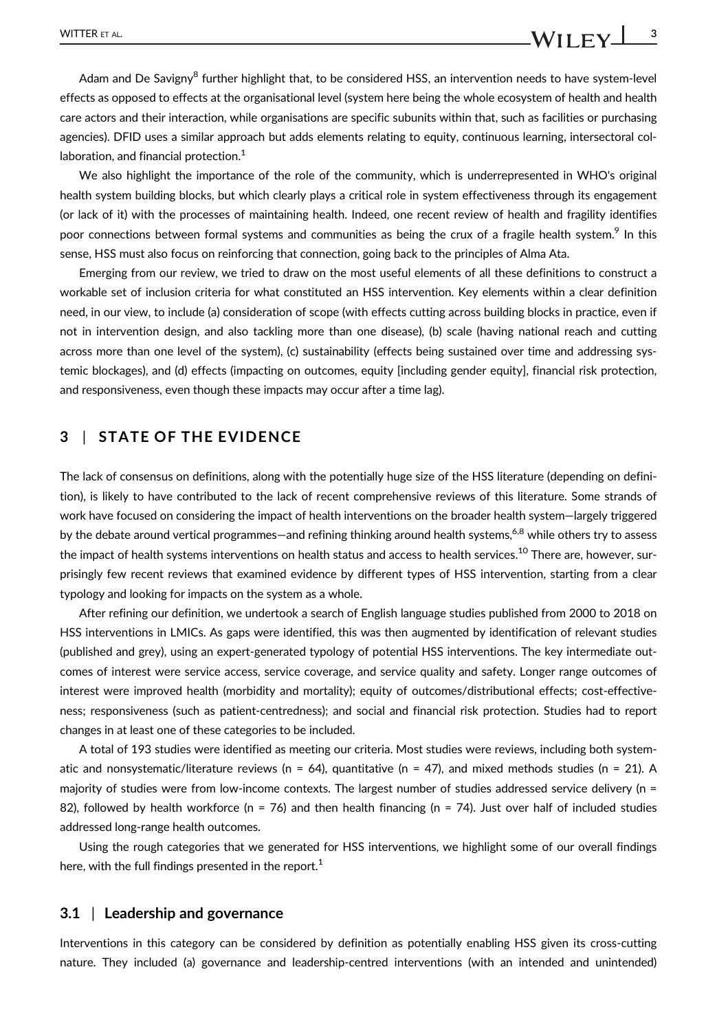Adam and De Savigny<sup>8</sup> further highlight that, to be considered HSS, an intervention needs to have system-level effects as opposed to effects at the organisational level (system here being the whole ecosystem of health and health care actors and their interaction, while organisations are specific subunits within that, such as facilities or purchasing agencies). DFID uses a similar approach but adds elements relating to equity, continuous learning, intersectoral collaboration, and financial protection.<sup>1</sup>

We also highlight the importance of the role of the community, which is underrepresented in WHO's original health system building blocks, but which clearly plays a critical role in system effectiveness through its engagement (or lack of it) with the processes of maintaining health. Indeed, one recent review of health and fragility identifies poor connections between formal systems and communities as being the crux of a fragile health system.<sup>9</sup> In this sense, HSS must also focus on reinforcing that connection, going back to the principles of Alma Ata.

Emerging from our review, we tried to draw on the most useful elements of all these definitions to construct a workable set of inclusion criteria for what constituted an HSS intervention. Key elements within a clear definition need, in our view, to include (a) consideration of scope (with effects cutting across building blocks in practice, even if not in intervention design, and also tackling more than one disease), (b) scale (having national reach and cutting across more than one level of the system), (c) sustainability (effects being sustained over time and addressing systemic blockages), and (d) effects (impacting on outcomes, equity [including gender equity], financial risk protection, and responsiveness, even though these impacts may occur after a time lag).

### **3** | **STATE OF THE EVIDENCE**

The lack of consensus on definitions, along with the potentially huge size of the HSS literature (depending on definition), is likely to have contributed to the lack of recent comprehensive reviews of this literature. Some strands of work have focused on considering the impact of health interventions on the broader health system—largely triggered by the debate around vertical programmes—and refining thinking around health systems,<sup>6,8</sup> while others try to assess the impact of health systems interventions on health status and access to health services.<sup>10</sup> There are, however, surprisingly few recent reviews that examined evidence by different types of HSS intervention, starting from a clear typology and looking for impacts on the system as a whole.

After refining our definition, we undertook a search of English language studies published from 2000 to 2018 on HSS interventions in LMICs. As gaps were identified, this was then augmented by identification of relevant studies (published and grey), using an expert-generated typology of potential HSS interventions. The key intermediate outcomes of interest were service access, service coverage, and service quality and safety. Longer range outcomes of interest were improved health (morbidity and mortality); equity of outcomes/distributional effects; cost-effectiveness; responsiveness (such as patient-centredness); and social and financial risk protection. Studies had to report changes in at least one of these categories to be included.

A total of 193 studies were identified as meeting our criteria. Most studies were reviews, including both systematic and nonsystematic/literature reviews ( $n = 64$ ), quantitative ( $n = 47$ ), and mixed methods studies ( $n = 21$ ). A majority of studies were from low-income contexts. The largest number of studies addressed service delivery (n = 82), followed by health workforce ( $n = 76$ ) and then health financing ( $n = 74$ ). Just over half of included studies addressed long-range health outcomes.

Using the rough categories that we generated for HSS interventions, we highlight some of our overall findings here, with the full findings presented in the report.<sup>1</sup>

#### **3.1** | **Leadership and governance**

Interventions in this category can be considered by definition as potentially enabling HSS given its cross-cutting nature. They included (a) governance and leadership-centred interventions (with an intended and unintended)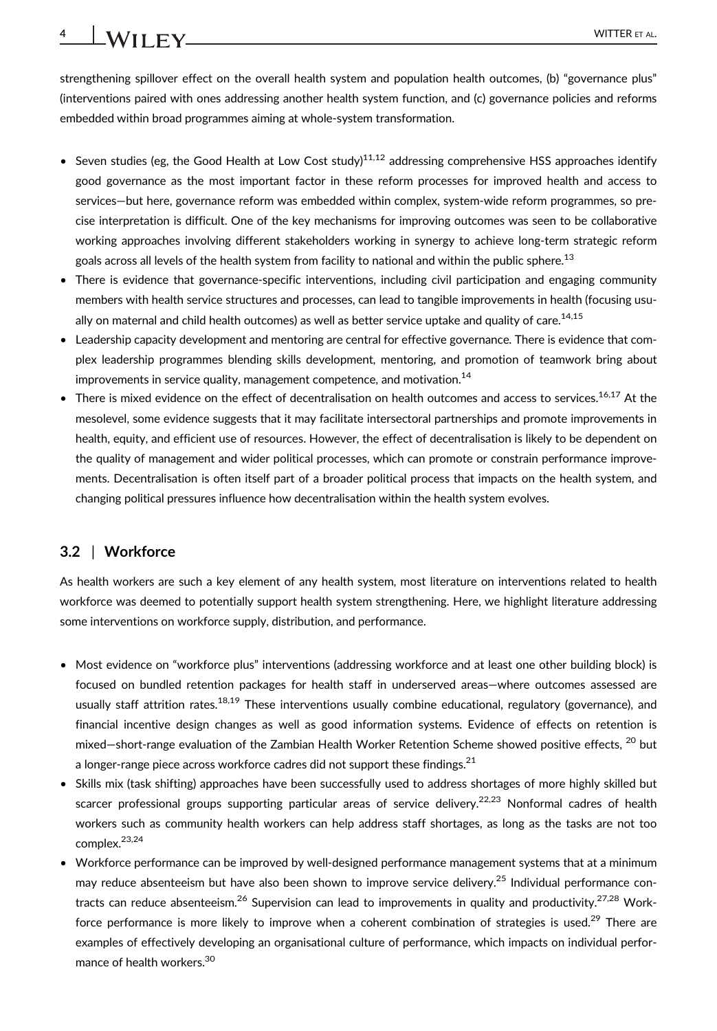strengthening spillover effect on the overall health system and population health outcomes, (b) "governance plus" (interventions paired with ones addressing another health system function, and (c) governance policies and reforms embedded within broad programmes aiming at whole-system transformation.

- Seven studies (eg, the Good Health at Low Cost study)<sup>11,12</sup> addressing comprehensive HSS approaches identify good governance as the most important factor in these reform processes for improved health and access to services—but here, governance reform was embedded within complex, system-wide reform programmes, so precise interpretation is difficult. One of the key mechanisms for improving outcomes was seen to be collaborative working approaches involving different stakeholders working in synergy to achieve long-term strategic reform goals across all levels of the health system from facility to national and within the public sphere.<sup>13</sup>
- There is evidence that governance-specific interventions, including civil participation and engaging community members with health service structures and processes, can lead to tangible improvements in health (focusing usually on maternal and child health outcomes) as well as better service uptake and quality of care.<sup>14,15</sup>
- Leadership capacity development and mentoring are central for effective governance. There is evidence that complex leadership programmes blending skills development, mentoring, and promotion of teamwork bring about improvements in service quality, management competence, and motivation.<sup>14</sup>
- There is mixed evidence on the effect of decentralisation on health outcomes and access to services.<sup>16,17</sup> At the mesolevel, some evidence suggests that it may facilitate intersectoral partnerships and promote improvements in health, equity, and efficient use of resources. However, the effect of decentralisation is likely to be dependent on the quality of management and wider political processes, which can promote or constrain performance improvements. Decentralisation is often itself part of a broader political process that impacts on the health system, and changing political pressures influence how decentralisation within the health system evolves.

## **3.2** | **Workforce**

As health workers are such a key element of any health system, most literature on interventions related to health workforce was deemed to potentially support health system strengthening. Here, we highlight literature addressing some interventions on workforce supply, distribution, and performance.

- Most evidence on "workforce plus" interventions (addressing workforce and at least one other building block) is focused on bundled retention packages for health staff in underserved areas—where outcomes assessed are usually staff attrition rates.<sup>18,19</sup> These interventions usually combine educational, regulatory (governance), and financial incentive design changes as well as good information systems. Evidence of effects on retention is mixed—short-range evaluation of the Zambian Health Worker Retention Scheme showed positive effects. <sup>20</sup> but a longer-range piece across workforce cadres did not support these findings.  $21$
- Skills mix (task shifting) approaches have been successfully used to address shortages of more highly skilled but scarcer professional groups supporting particular areas of service delivery.<sup>22,23</sup> Nonformal cadres of health workers such as community health workers can help address staff shortages, as long as the tasks are not too complex.<sup>23,24</sup>
- Workforce performance can be improved by well-designed performance management systems that at a minimum may reduce absenteeism but have also been shown to improve service delivery.<sup>25</sup> Individual performance contracts can reduce absenteeism.<sup>26</sup> Supervision can lead to improvements in quality and productivity.<sup>27,28</sup> Workforce performance is more likely to improve when a coherent combination of strategies is used.<sup>29</sup> There are examples of effectively developing an organisational culture of performance, which impacts on individual performance of health workers.<sup>30</sup>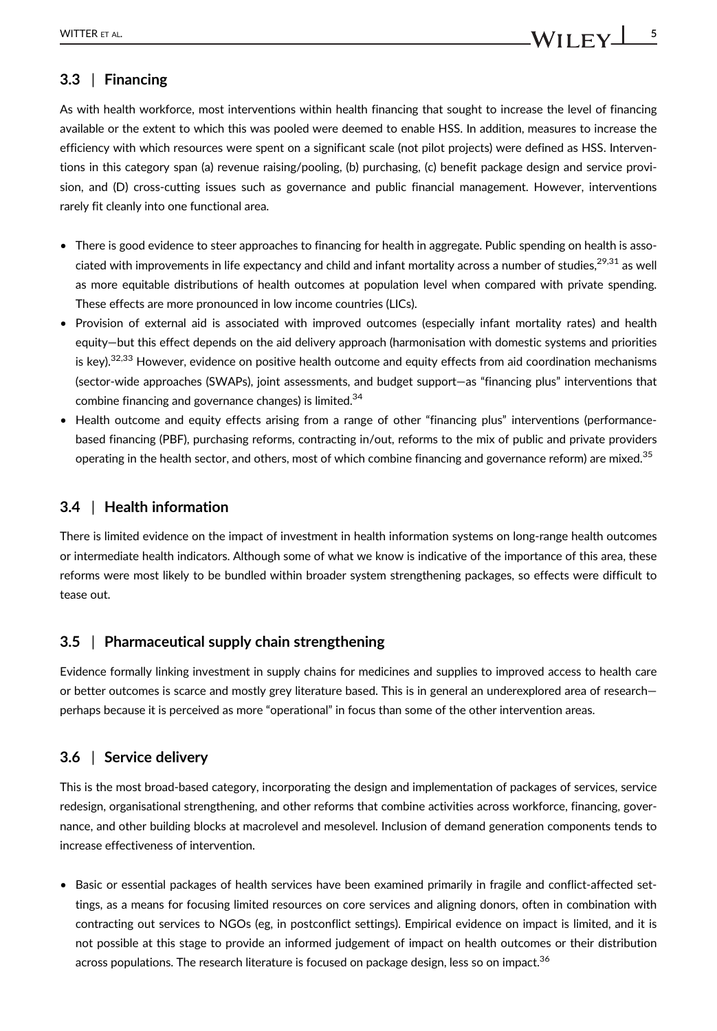## **3.3** | **Financing**

As with health workforce, most interventions within health financing that sought to increase the level of financing available or the extent to which this was pooled were deemed to enable HSS. In addition, measures to increase the efficiency with which resources were spent on a significant scale (not pilot projects) were defined as HSS. Interventions in this category span (a) revenue raising/pooling, (b) purchasing, (c) benefit package design and service provision, and (D) cross-cutting issues such as governance and public financial management. However, interventions rarely fit cleanly into one functional area.

- There is good evidence to steer approaches to financing for health in aggregate. Public spending on health is associated with improvements in life expectancy and child and infant mortality across a number of studies,<sup>29,31</sup> as well as more equitable distributions of health outcomes at population level when compared with private spending. These effects are more pronounced in low income countries (LICs).
- Provision of external aid is associated with improved outcomes (especially infant mortality rates) and health equity—but this effect depends on the aid delivery approach (harmonisation with domestic systems and priorities is key).<sup>32,33</sup> However, evidence on positive health outcome and equity effects from aid coordination mechanisms (sector-wide approaches (SWAPs), joint assessments, and budget support—as "financing plus" interventions that combine financing and governance changes) is limited.<sup>34</sup>
- Health outcome and equity effects arising from a range of other "financing plus" interventions (performancebased financing (PBF), purchasing reforms, contracting in/out, reforms to the mix of public and private providers operating in the health sector, and others, most of which combine financing and governance reform) are mixed.<sup>35</sup>

## **3.4** | **Health information**

There is limited evidence on the impact of investment in health information systems on long-range health outcomes or intermediate health indicators. Although some of what we know is indicative of the importance of this area, these reforms were most likely to be bundled within broader system strengthening packages, so effects were difficult to tease out.

#### **3.5** | **Pharmaceutical supply chain strengthening**

Evidence formally linking investment in supply chains for medicines and supplies to improved access to health care or better outcomes is scarce and mostly grey literature based. This is in general an underexplored area of research perhaps because it is perceived as more "operational" in focus than some of the other intervention areas.

## **3.6** | **Service delivery**

This is the most broad-based category, incorporating the design and implementation of packages of services, service redesign, organisational strengthening, and other reforms that combine activities across workforce, financing, governance, and other building blocks at macrolevel and mesolevel. Inclusion of demand generation components tends to increase effectiveness of intervention.

• Basic or essential packages of health services have been examined primarily in fragile and conflict-affected settings, as a means for focusing limited resources on core services and aligning donors, often in combination with contracting out services to NGOs (eg, in postconflict settings). Empirical evidence on impact is limited, and it is not possible at this stage to provide an informed judgement of impact on health outcomes or their distribution across populations. The research literature is focused on package design, less so on impact.<sup>36</sup>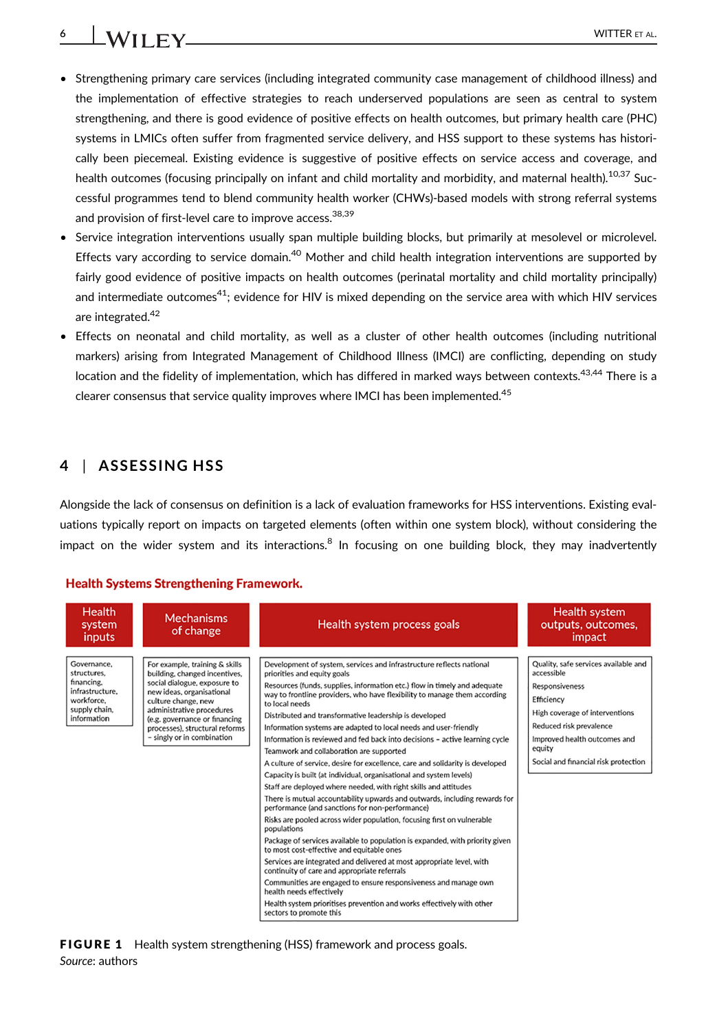# **6** WITTER ET AL.

- Strengthening primary care services (including integrated community case management of childhood illness) and the implementation of effective strategies to reach underserved populations are seen as central to system strengthening, and there is good evidence of positive effects on health outcomes, but primary health care (PHC) systems in LMICs often suffer from fragmented service delivery, and HSS support to these systems has historically been piecemeal. Existing evidence is suggestive of positive effects on service access and coverage, and health outcomes (focusing principally on infant and child mortality and morbidity, and maternal health).<sup>10,37</sup> Successful programmes tend to blend community health worker (CHWs)-based models with strong referral systems and provision of first-level care to improve access.<sup>38,39</sup>
- Service integration interventions usually span multiple building blocks, but primarily at mesolevel or microlevel. Effects vary according to service domain.<sup>40</sup> Mother and child health integration interventions are supported by fairly good evidence of positive impacts on health outcomes (perinatal mortality and child mortality principally) and intermediate outcomes $41$ ; evidence for HIV is mixed depending on the service area with which HIV services are integrated.<sup>42</sup>
- Effects on neonatal and child mortality, as well as a cluster of other health outcomes (including nutritional markers) arising from Integrated Management of Childhood Illness (IMCI) are conflicting, depending on study location and the fidelity of implementation, which has differed in marked ways between contexts.<sup>43,44</sup> There is a clearer consensus that service quality improves where IMCI has been implemented.<sup>45</sup>

## **4** | **ASSESSING HSS**

Alongside the lack of consensus on definition is a lack of evaluation frameworks for HSS interventions. Existing evaluations typically report on impacts on targeted elements (often within one system block), without considering the impact on the wider system and its interactions.<sup>8</sup> In focusing on one building block, they may inadvertently

#### **Health Systems Strengthening Framework.**

| <b>Health</b><br>system<br><i>inputs</i>                                                                  | <b>Mechanisms</b><br>of change                                                                                                                                                                                                                                                    | Health system process goals                                                                                                                                                                                                                                                                                                                                                                                                                                                                                                                                                                                                                                                                                                                                                                                                                                                                                                                                                                                                                                                                                                                                                                                                                                                                                                                                                                                                                             | Health system<br>outputs, outcomes,<br>impact                                                                                                                                                                                            |
|-----------------------------------------------------------------------------------------------------------|-----------------------------------------------------------------------------------------------------------------------------------------------------------------------------------------------------------------------------------------------------------------------------------|---------------------------------------------------------------------------------------------------------------------------------------------------------------------------------------------------------------------------------------------------------------------------------------------------------------------------------------------------------------------------------------------------------------------------------------------------------------------------------------------------------------------------------------------------------------------------------------------------------------------------------------------------------------------------------------------------------------------------------------------------------------------------------------------------------------------------------------------------------------------------------------------------------------------------------------------------------------------------------------------------------------------------------------------------------------------------------------------------------------------------------------------------------------------------------------------------------------------------------------------------------------------------------------------------------------------------------------------------------------------------------------------------------------------------------------------------------|------------------------------------------------------------------------------------------------------------------------------------------------------------------------------------------------------------------------------------------|
| Governance.<br>structures.<br>financing.<br>infrastructure.<br>workforce.<br>supply chain,<br>information | For example, training & skills<br>building, changed incentives.<br>social dialogue, exposure to<br>new ideas, organisational<br>culture change, new<br>administrative procedures<br>(e.g. governance or financing<br>processes), structural reforms<br>- singly or in combination | Development of system, services and infrastructure reflects national<br>priorities and equity goals<br>Resources (funds, supplies, information etc.) flow in timely and adequate<br>way to frontline providers, who have flexibility to manage them according<br>to local needs<br>Distributed and transformative leadership is developed<br>Information systems are adapted to local needs and user-friendly<br>Information is reviewed and fed back into decisions - active learning cycle<br>Teamwork and collaboration are supported<br>A culture of service, desire for excellence, care and solidarity is developed<br>Capacity is built (at individual, organisational and system levels)<br>Staff are deployed where needed, with right skills and attitudes<br>There is mutual accountability upwards and outwards, including rewards for<br>performance (and sanctions for non-performance)<br>Risks are pooled across wider population, focusing first on vulnerable<br>populations<br>Package of services available to population is expanded, with priority given<br>to most cost-effective and equitable ones<br>Services are integrated and delivered at most appropriate level, with<br>continuity of care and appropriate referrals<br>Communities are engaged to ensure responsiveness and manage own<br>health needs effectively<br>Health system prioritises prevention and works effectively with other<br>sectors to promote this | Quality, safe services available and<br>accessible<br><b>Responsiveness</b><br>Efficiency<br>High coverage of interventions<br>Reduced risk prevalence<br>Improved health outcomes and<br>equity<br>Social and financial risk protection |

**FIGURE 1** Health system strengthening (HSS) framework and process goals. *Source*: authors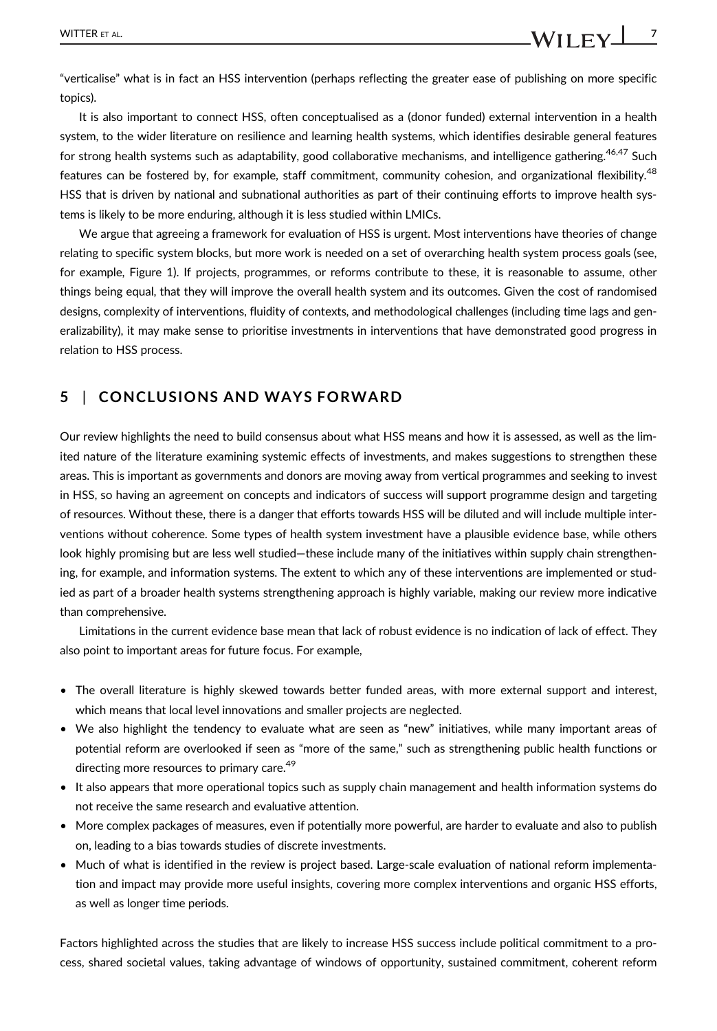"verticalise" what is in fact an HSS intervention (perhaps reflecting the greater ease of publishing on more specific topics).

It is also important to connect HSS, often conceptualised as a (donor funded) external intervention in a health system, to the wider literature on resilience and learning health systems, which identifies desirable general features for strong health systems such as adaptability, good collaborative mechanisms, and intelligence gathering.<sup>46,47</sup> Such features can be fostered by, for example, staff commitment, community cohesion, and organizational flexibility.<sup>48</sup> HSS that is driven by national and subnational authorities as part of their continuing efforts to improve health systems is likely to be more enduring, although it is less studied within LMICs.

We argue that agreeing a framework for evaluation of HSS is urgent. Most interventions have theories of change relating to specific system blocks, but more work is needed on a set of overarching health system process goals (see, for example, Figure 1). If projects, programmes, or reforms contribute to these, it is reasonable to assume, other things being equal, that they will improve the overall health system and its outcomes. Given the cost of randomised designs, complexity of interventions, fluidity of contexts, and methodological challenges (including time lags and generalizability), it may make sense to prioritise investments in interventions that have demonstrated good progress in relation to HSS process.

## **5** | **CONCLUSIONS AND WAYS FORWARD**

Our review highlights the need to build consensus about what HSS means and how it is assessed, as well as the limited nature of the literature examining systemic effects of investments, and makes suggestions to strengthen these areas. This is important as governments and donors are moving away from vertical programmes and seeking to invest in HSS, so having an agreement on concepts and indicators of success will support programme design and targeting of resources. Without these, there is a danger that efforts towards HSS will be diluted and will include multiple interventions without coherence. Some types of health system investment have a plausible evidence base, while others look highly promising but are less well studied—these include many of the initiatives within supply chain strengthening, for example, and information systems. The extent to which any of these interventions are implemented or studied as part of a broader health systems strengthening approach is highly variable, making our review more indicative than comprehensive.

Limitations in the current evidence base mean that lack of robust evidence is no indication of lack of effect. They also point to important areas for future focus. For example,

- The overall literature is highly skewed towards better funded areas, with more external support and interest, which means that local level innovations and smaller projects are neglected.
- We also highlight the tendency to evaluate what are seen as "new" initiatives, while many important areas of potential reform are overlooked if seen as "more of the same," such as strengthening public health functions or directing more resources to primary care.<sup>49</sup>
- It also appears that more operational topics such as supply chain management and health information systems do not receive the same research and evaluative attention.
- More complex packages of measures, even if potentially more powerful, are harder to evaluate and also to publish on, leading to a bias towards studies of discrete investments.
- Much of what is identified in the review is project based. Large-scale evaluation of national reform implementation and impact may provide more useful insights, covering more complex interventions and organic HSS efforts, as well as longer time periods.

Factors highlighted across the studies that are likely to increase HSS success include political commitment to a process, shared societal values, taking advantage of windows of opportunity, sustained commitment, coherent reform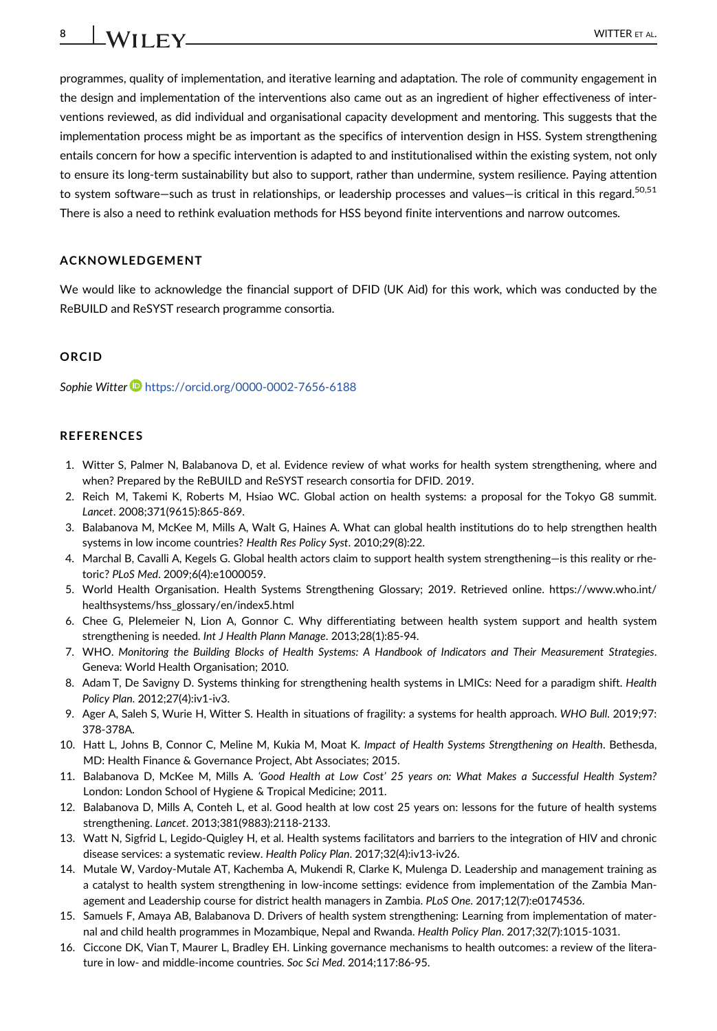programmes, quality of implementation, and iterative learning and adaptation. The role of community engagement in the design and implementation of the interventions also came out as an ingredient of higher effectiveness of interventions reviewed, as did individual and organisational capacity development and mentoring. This suggests that the implementation process might be as important as the specifics of intervention design in HSS. System strengthening entails concern for how a specific intervention is adapted to and institutionalised within the existing system, not only to ensure its long-term sustainability but also to support, rather than undermine, system resilience. Paying attention to system software—such as trust in relationships, or leadership processes and values—is critical in this regard.<sup>50,51</sup> There is also a need to rethink evaluation methods for HSS beyond finite interventions and narrow outcomes.

#### **ACKNOWLEDGEMENT**

We would like to acknowledge the financial support of DFID (UK Aid) for this work, which was conducted by the ReBUILD and ReSYST research programme consortia.

#### **ORCID**

**Sophie Witter** <https://orcid.org/0000-0002-7656-6188>

#### **REFERENCES**

- 1. Witter S, Palmer N, Balabanova D, et al. Evidence review of what works for health system strengthening, where and when? Prepared by the ReBUILD and ReSYST research consortia for DFID. 2019.
- 2. Reich M, Takemi K, Roberts M, Hsiao WC. Global action on health systems: a proposal for the Tokyo G8 summit. *Lancet*. 2008;371(9615):865-869.
- 3. Balabanova M, McKee M, Mills A, Walt G, Haines A. What can global health institutions do to help strengthen health systems in low income countries? *Health Res Policy Syst*. 2010;29(8):22.
- 4. Marchal B, Cavalli A, Kegels G. Global health actors claim to support health system strengthening—is this reality or rhetoric? *PLoS Med*. 2009;6(4):e1000059.
- 5. World Health Organisation. Health Systems Strengthening Glossary; 2019. Retrieved online. [https://www.who.int/](https://www.who.int/healthsystems/hss_glossary/en/index5.html) [healthsystems/hss\\_glossary/en/index5.html](https://www.who.int/healthsystems/hss_glossary/en/index5.html)
- 6. Chee G, PIelemeier N, Lion A, Gonnor C. Why differentiating between health system support and health system strengthening is needed. *Int J Health Plann Manage*. 2013;28(1):85-94.
- 7. WHO. *Monitoring the Building Blocks of Health Systems: A Handbook of Indicators and Their Measurement Strategies*. Geneva: World Health Organisation; 2010.
- 8. Adam T, De Savigny D. Systems thinking for strengthening health systems in LMICs: Need for a paradigm shift. *Health Policy Plan*. 2012;27(4):iv1-iv3.
- 9. Ager A, Saleh S, Wurie H, Witter S. Health in situations of fragility: a systems for health approach. *WHO Bull*. 2019;97: 378-378A.
- 10. Hatt L, Johns B, Connor C, Meline M, Kukia M, Moat K. *Impact of Health Systems Strengthening on Health*. Bethesda, MD: Health Finance & Governance Project, Abt Associates; 2015.
- 11. Balabanova D, McKee M, Mills A. *'Good Health at Low Cost' 25 years on: What Makes a Successful Health System?* London: London School of Hygiene & Tropical Medicine; 2011.
- 12. Balabanova D, Mills A, Conteh L, et al. Good health at low cost 25 years on: lessons for the future of health systems strengthening. *Lancet*. 2013;381(9883):2118-2133.
- 13. Watt N, Sigfrid L, Legido-Quigley H, et al. Health systems facilitators and barriers to the integration of HIV and chronic disease services: a systematic review. *Health Policy Plan*. 2017;32(4):iv13-iv26.
- 14. Mutale W, Vardoy-Mutale AT, Kachemba A, Mukendi R, Clarke K, Mulenga D. Leadership and management training as a catalyst to health system strengthening in low-income settings: evidence from implementation of the Zambia Management and Leadership course for district health managers in Zambia. *PLoS One*. 2017;12(7):e0174536.
- 15. Samuels F, Amaya AB, Balabanova D. Drivers of health system strengthening: Learning from implementation of maternal and child health programmes in Mozambique, Nepal and Rwanda. *Health Policy Plan*. 2017;32(7):1015-1031.
- 16. Ciccone DK, Vian T, Maurer L, Bradley EH. Linking governance mechanisms to health outcomes: a review of the literature in low- and middle-income countries. *Soc Sci Med*. 2014;117:86-95.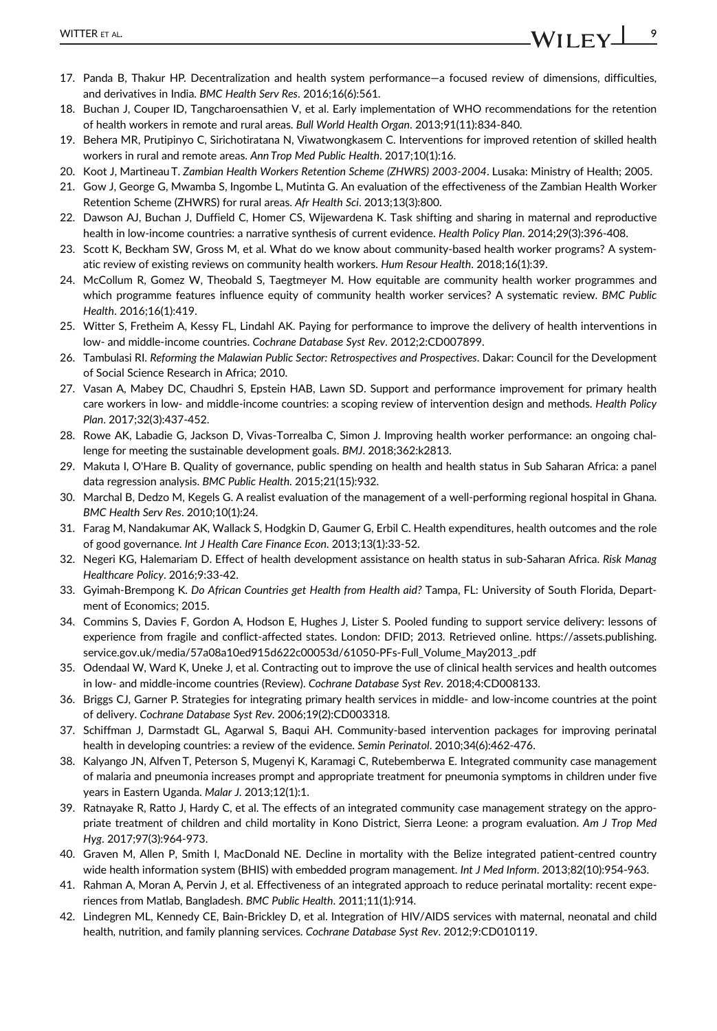- 17. Panda B, Thakur HP. Decentralization and health system performance—a focused review of dimensions, difficulties, and derivatives in India. *BMC Health Serv Res*. 2016;16(6):561.
- 18. Buchan J, Couper ID, Tangcharoensathien V, et al. Early implementation of WHO recommendations for the retention of health workers in remote and rural areas. *Bull World Health Organ*. 2013;91(11):834-840.
- 19. Behera MR, Prutipinyo C, Sirichotiratana N, Viwatwongkasem C. Interventions for improved retention of skilled health workers in rural and remote areas. *Ann Trop Med Public Health*. 2017;10(1):16.
- 20. Koot J, Martineau T. *Zambian Health Workers Retention Scheme (ZHWRS) 2003-2004*. Lusaka: Ministry of Health; 2005.
- 21. Gow J, George G, Mwamba S, Ingombe L, Mutinta G. An evaluation of the effectiveness of the Zambian Health Worker Retention Scheme (ZHWRS) for rural areas. *Afr Health Sci*. 2013;13(3):800.
- 22. Dawson AJ, Buchan J, Duffield C, Homer CS, Wijewardena K. Task shifting and sharing in maternal and reproductive health in low-income countries: a narrative synthesis of current evidence. *Health Policy Plan*. 2014;29(3):396-408.
- 23. Scott K, Beckham SW, Gross M, et al. What do we know about community-based health worker programs? A systematic review of existing reviews on community health workers. *Hum Resour Health*. 2018;16(1):39.
- 24. McCollum R, Gomez W, Theobald S, Taegtmeyer M. How equitable are community health worker programmes and which programme features influence equity of community health worker services? A systematic review. *BMC Public Health*. 2016;16(1):419.
- 25. Witter S, Fretheim A, Kessy FL, Lindahl AK. Paying for performance to improve the delivery of health interventions in low- and middle-income countries. *Cochrane Database Syst Rev*. 2012;2:CD007899.
- 26. Tambulasi RI. *Reforming the Malawian Public Sector: Retrospectives and Prospectives*. Dakar: Council for the Development of Social Science Research in Africa; 2010.
- 27. Vasan A, Mabey DC, Chaudhri S, Epstein HAB, Lawn SD. Support and performance improvement for primary health care workers in low- and middle-income countries: a scoping review of intervention design and methods. *Health Policy Plan*. 2017;32(3):437-452.
- 28. Rowe AK, Labadie G, Jackson D, Vivas-Torrealba C, Simon J. Improving health worker performance: an ongoing challenge for meeting the sustainable development goals. *BMJ*. 2018;362:k2813.
- 29. Makuta I, O'Hare B. Quality of governance, public spending on health and health status in Sub Saharan Africa: a panel data regression analysis. *BMC Public Health*. 2015;21(15):932.
- 30. Marchal B, Dedzo M, Kegels G. A realist evaluation of the management of a well-performing regional hospital in Ghana. *BMC Health Serv Res*. 2010;10(1):24.
- 31. Farag M, Nandakumar AK, Wallack S, Hodgkin D, Gaumer G, Erbil C. Health expenditures, health outcomes and the role of good governance. *Int J Health Care Finance Econ*. 2013;13(1):33-52.
- 32. Negeri KG, Halemariam D. Effect of health development assistance on health status in sub-Saharan Africa. *Risk Manag Healthcare Policy*. 2016;9:33-42.
- 33. Gyimah-Brempong K. *Do African Countries get Health from Health aid?* Tampa, FL: University of South Florida, Department of Economics; 2015.
- 34. Commins S, Davies F, Gordon A, Hodson E, Hughes J, Lister S. Pooled funding to support service delivery: lessons of experience from fragile and conflict-affected states. London: DFID; 2013. Retrieved online. [https://assets.publishing.](https://assets.publishing.service.gov.uk/media/57a08a10ed915d622c00053d/61050-PFs-Full_Volume_May2013_.pdf) [service.gov.uk/media/57a08a10ed915d622c00053d/61050-PFs-Full\\_Volume\\_May2013\\_.pdf](https://assets.publishing.service.gov.uk/media/57a08a10ed915d622c00053d/61050-PFs-Full_Volume_May2013_.pdf)
- 35. Odendaal W, Ward K, Uneke J, et al. Contracting out to improve the use of clinical health services and health outcomes in low- and middle-income countries (Review). *Cochrane Database Syst Rev*. 2018;4:CD008133.
- 36. Briggs CJ, Garner P. Strategies for integrating primary health services in middle- and low-income countries at the point of delivery. *Cochrane Database Syst Rev*. 2006;19(2):CD003318.
- 37. Schiffman J, Darmstadt GL, Agarwal S, Baqui AH. Community-based intervention packages for improving perinatal health in developing countries: a review of the evidence. *Semin Perinatol*. 2010;34(6):462-476.
- 38. Kalyango JN, Alfven T, Peterson S, Mugenyi K, Karamagi C, Rutebemberwa E. Integrated community case management of malaria and pneumonia increases prompt and appropriate treatment for pneumonia symptoms in children under five years in Eastern Uganda. *Malar J*. 2013;12(1):1.
- 39. Ratnayake R, Ratto J, Hardy C, et al. The effects of an integrated community case management strategy on the appropriate treatment of children and child mortality in Kono District, Sierra Leone: a program evaluation. *Am J Trop Med Hyg*. 2017;97(3):964-973.
- 40. Graven M, Allen P, Smith I, MacDonald NE. Decline in mortality with the Belize integrated patient-centred country wide health information system (BHIS) with embedded program management. *Int J Med Inform*. 2013;82(10):954-963.
- 41. Rahman A, Moran A, Pervin J, et al. Effectiveness of an integrated approach to reduce perinatal mortality: recent experiences from Matlab, Bangladesh. *BMC Public Health*. 2011;11(1):914.
- 42. Lindegren ML, Kennedy CE, Bain-Brickley D, et al. Integration of HIV/AIDS services with maternal, neonatal and child health, nutrition, and family planning services. *Cochrane Database Syst Rev*. 2012;9:CD010119.